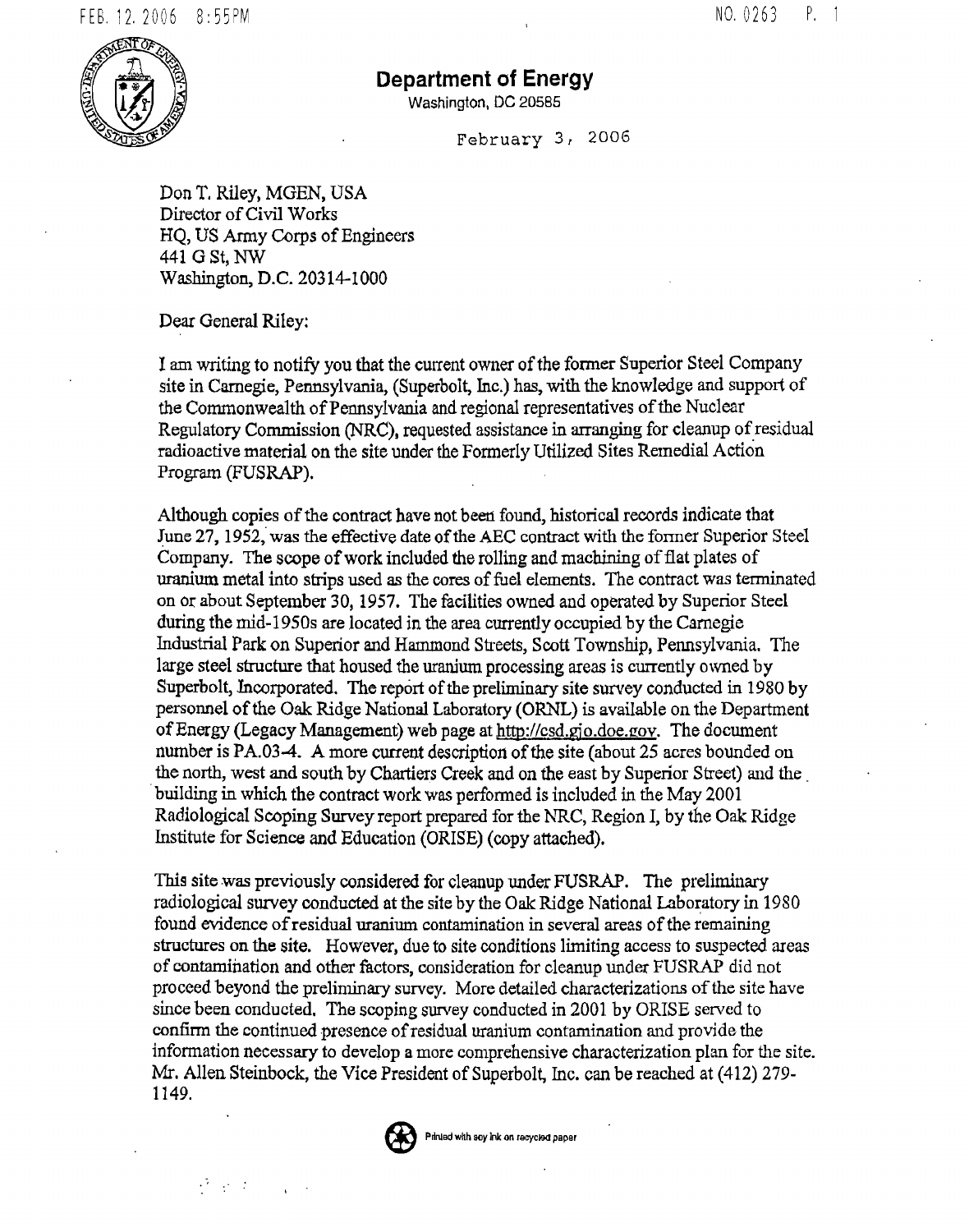

## **Department of Energy**

Washington, DC 20585

February 3, 2006

Don T. Riley, MGEN, USA Director of Civil Works HQ, US Army Corps of Engineers 441 G St, NW Washington, D.C. 20314-1000

Dear General Riley:

 $\mathcal{O}(\log n)$ 

I am writing to notify you that the current owner of the fotmer Superior Steel Company site in Carnegie, Pennsylvania, (Superbolt, Inc.) has, with the knowledge and support of the Conunonwealth of Pennsylvania and regional representatives of the Nuclear Regulatory Commission (NRC), requested assistance in arranging for cleanup of residual radioactive material on the site under the Fonnerly Utilized Sites Remedial Action Program (FUSRAP).

Although copies of the contract have not been found, historical records indicate that June 27, 1952, was the effective date of the AEC contract with the former Superior Steel Company. The scope of work included the rolling and machining of flat plates of uranium metal into strips used *as* the cores of fuel elements. The contract was terminated on or about September 30, 1957. The facilities owned and operated by Superior Steel during the nrid-19S0s are located in the area currently occupied by the Carnegie Industrial Park on Superior and Hammond Streets, Scott Township, Pennsylvania. The large steel structure that housed the uranium processing areas is currently owned by Superbolt, Incorporated. The report of the preliminary site survey conducted in 1980 by personnel of the Oak Ridge National Laboratory (ORNL) is available on the Department of Energy (Legacy Management) web page at http://csd.gjo.doe.gov. The document number is PA.03-4. A more current description of the site (about 25 acres bounded on the north, west and south by Chartiers Creek and on the east by Superior Street) and the\_ . building in which the contract work was performed is included in the May 2001 Radiological Scoping Survey report prepared for the NRC, Region I, by the Oak Ridge Institute for Science and Education (ORISE) (copy attached).

This site was previously considered for cleanup under FUSRAP. The preliminary radiological survey conducted at the site by the Oak Ridge National Laboratory in 1980 found evidence of residual uranium contamination in several areas of the remaining structures on the site. However, due to site conditions limiting access to suspected areas of contamination and other factors, consideration for cleanup under FUSRAP did not proceed beyond the preliminary survey. More detailed characterizations of the site have since been conducted. The scoping survey conducted in 2001 by ORISE served to confirm the continued presence of residual uranium contamination and provide the information necessary to develop a more comprehensive characterization plan for the site. Mr. Allen Steinbock, the Vice President of Superbolt, Inc. can be reached at (412) 279-1149.



Printed with soy ink on recycled paper